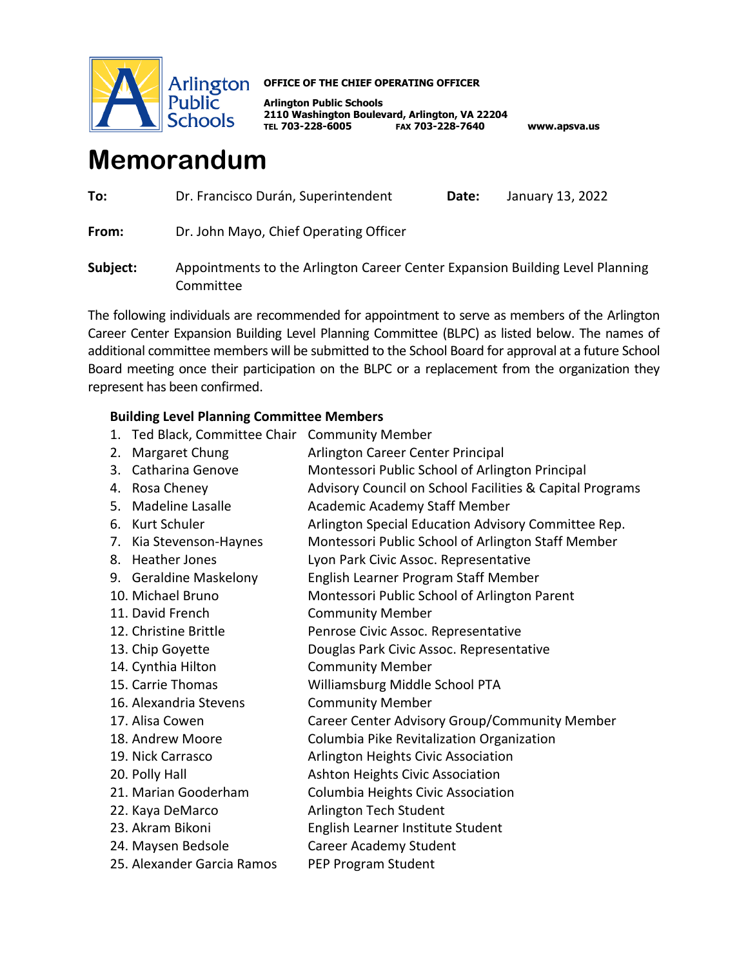

## **OFFICE OF THE CHIEF OPERATING OFFICER**

**Arlington Public Schools 2110 Washington Boulevard, Arlington, VA 22204 TEL 703-228-6005 FAX 703-228-7640 www.apsva.us**

## **Memorandum**

| To:      | Dr. Francisco Durán, Superintendent                                                        | Date: | January 13, 2022 |
|----------|--------------------------------------------------------------------------------------------|-------|------------------|
| From:    | Dr. John Mayo, Chief Operating Officer                                                     |       |                  |
| Subject: | Appointments to the Arlington Career Center Expansion Building Level Planning<br>Committee |       |                  |

The following individuals are recommended for appointment to serve as members of the Arlington Career Center Expansion Building Level Planning Committee (BLPC) as listed below. The names of additional committee members will be submitted to the School Board for approval at a future School Board meeting once their participation on the BLPC or a replacement from the organization they represent has been confirmed.

## **Building Level Planning Committee Members**

- 1. Ted Black, Committee Chair Community Member
- 2. Margaret Chung **Arlington Career Center Principal**
- 3. Catharina Genove Montessori Public School of Arlington Principal
- 4. Rosa Cheney Advisory Council on School Facilities & Capital Programs
- 5. Madeline Lasalle **Academic Academy Staff Member**
- 6. Kurt Schuler **Arlington Special Education Advisory Committee Rep.**
- 7. Kia Stevenson-Haynes Montessori Public School of Arlington Staff Member
- 8. Heather Jones Lyon Park Civic Assoc. Representative
- 9. Geraldine Maskelony English Learner Program Staff Member
- 10. Michael Bruno Montessori Public School of Arlington Parent
- 11. David French Community Member
- 12. Christine Brittle Penrose Civic Assoc. Representative
- 13. Chip Goyette Douglas Park Civic Assoc. Representative
- 14. Cynthia Hilton Community Member
- 15. Carrie Thomas Williamsburg Middle School PTA
- 16. Alexandria Stevens Community Member
- 17. Alisa Cowen Career Center Advisory Group/Community Member
- 18. Andrew Moore Columbia Pike Revitalization Organization
- 19. Nick Carrasco Arlington Heights Civic Association
- 20. Polly Hall **Ashton Heights Civic Association**
- 21. Marian Gooderham Columbia Heights Civic Association
- 22. Kaya DeMarco **Arlington Tech Student**
- 23. Akram Bikoni English Learner Institute Student
- 
- 25. Alexander Garcia Ramos PEP Program Student
- 24. Maysen Bedsole Career Academy Student
	-